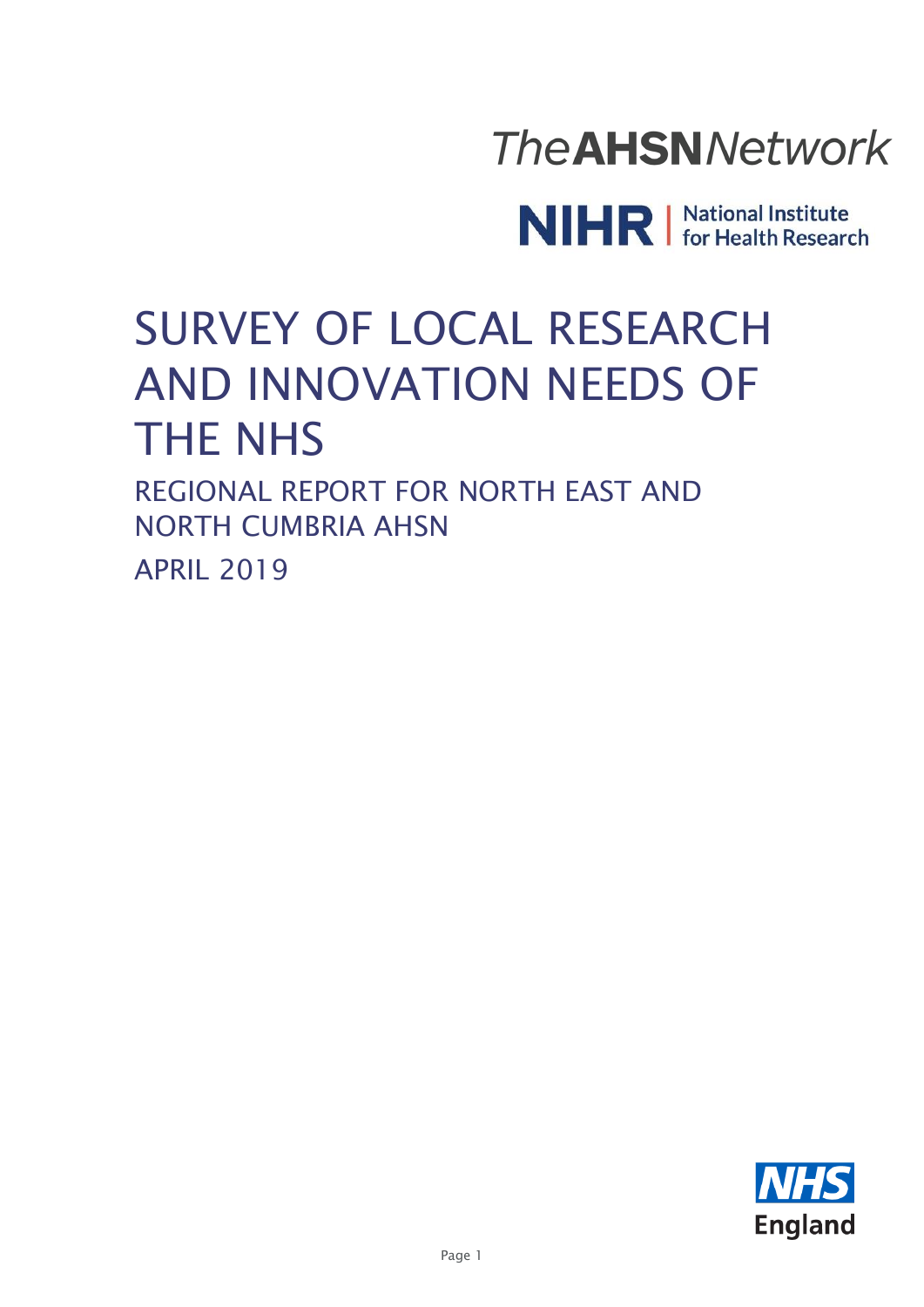

NIHR | National Institute

# SURVEY OF LOCAL RESEARCH AND INNOVATION NEEDS OF THE NHS

REGIONAL REPORT FOR NORTH EAST AND NORTH CUMBRIA AHSN APRIL 2019

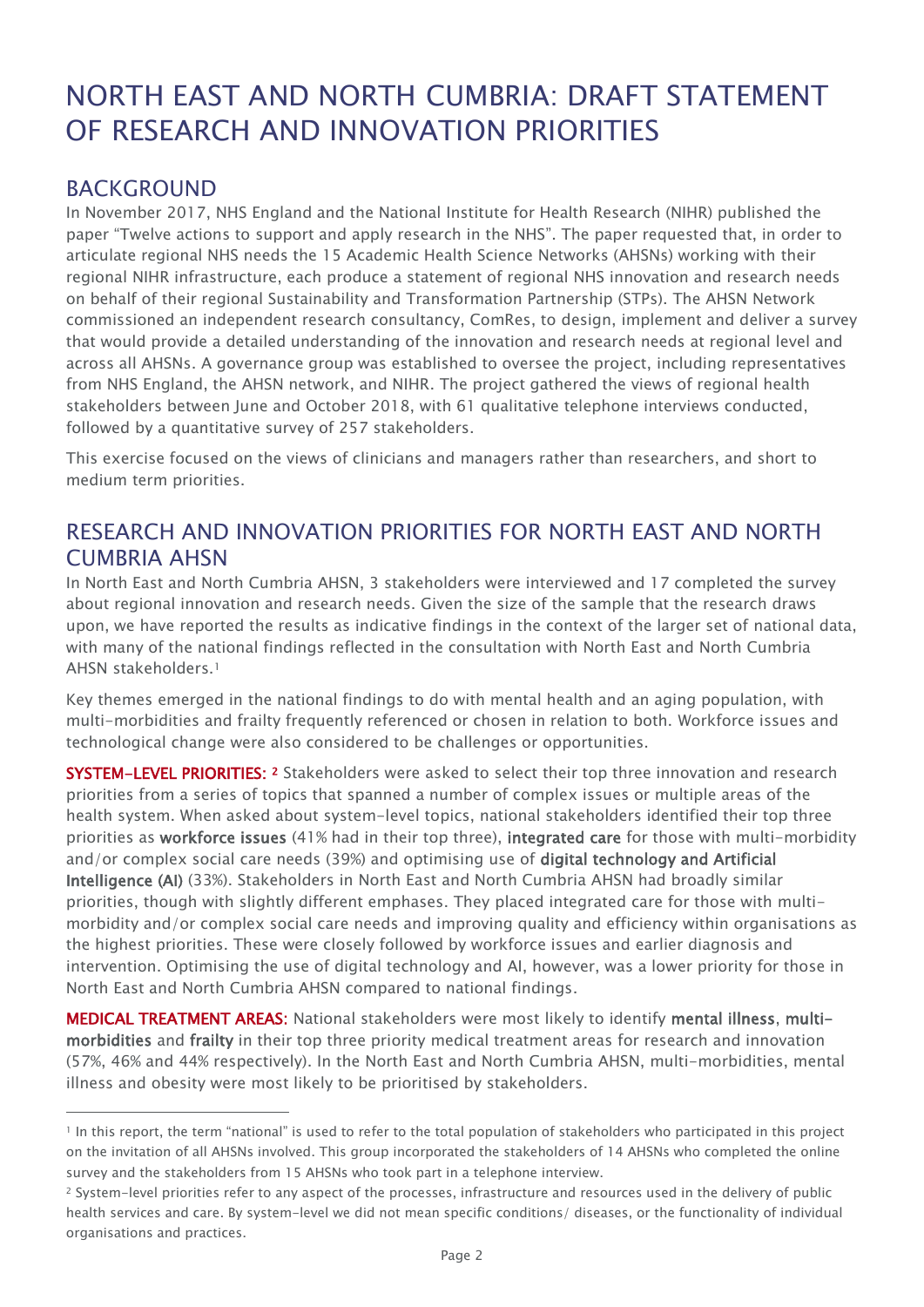# NORTH EAST AND NORTH CUMBRIA: DRAFT STATEMENT OF RESEARCH AND INNOVATION PRIORITIES

#### BACKGROUND

 $\overline{a}$ 

In November 2017, NHS England and the National Institute for Health Research (NIHR) published the paper "Twelve actions to support and apply research in the NHS". The paper requested that, in order to articulate regional NHS needs the 15 Academic Health Science Networks (AHSNs) working with their regional NIHR infrastructure, each produce a statement of regional NHS innovation and research needs on behalf of their regional Sustainability and Transformation Partnership (STPs). The AHSN Network commissioned an independent research consultancy, ComRes, to design, implement and deliver a survey that would provide a detailed understanding of the innovation and research needs at regional level and across all AHSNs. A governance group was established to oversee the project, including representatives from NHS England, the AHSN network, and NIHR. The project gathered the views of regional health stakeholders between June and October 2018, with 61 qualitative telephone interviews conducted, followed by a quantitative survey of 257 stakeholders.

This exercise focused on the views of clinicians and managers rather than researchers, and short to medium term priorities.

## RESEARCH AND INNOVATION PRIORITIES FOR NORTH EAST AND NORTH CUMBRIA AHSN

In North East and North Cumbria AHSN, 3 stakeholders were interviewed and 17 completed the survey about regional innovation and research needs. Given the size of the sample that the research draws upon, we have reported the results as indicative findings in the context of the larger set of national data, with many of the national findings reflected in the consultation with North East and North Cumbria AHSN stakeholders.<sup>1</sup>

Key themes emerged in the national findings to do with mental health and an aging population, with multi-morbidities and frailty frequently referenced or chosen in relation to both. Workforce issues and technological change were also considered to be challenges or opportunities.

**SYSTEM-LEVEL PRIORITIES:** 2 Stakeholders were asked to select their top three innovation and research priorities from a series of topics that spanned a number of complex issues or multiple areas of the health system. When asked about system-level topics, national stakeholders identified their top three priorities as workforce issues (41% had in their top three), integrated care for those with multi-morbidity and/or complex social care needs (39%) and optimising use of digital technology and Artificial Intelligence (AI) (33%). Stakeholders in North East and North Cumbria AHSN had broadly similar priorities, though with slightly different emphases. They placed integrated care for those with multimorbidity and/or complex social care needs and improving quality and efficiency within organisations as the highest priorities. These were closely followed by workforce issues and earlier diagnosis and intervention. Optimising the use of digital technology and AI, however, was a lower priority for those in North East and North Cumbria AHSN compared to national findings.

MEDICAL TREATMENT AREAS: National stakeholders were most likely to identify mental illness, multimorbidities and frailty in their top three priority medical treatment areas for research and innovation (57%, 46% and 44% respectively). In the North East and North Cumbria AHSN, multi-morbidities, mental illness and obesity were most likely to be prioritised by stakeholders.

<sup>1</sup> In this report, the term "national" is used to refer to the total population of stakeholders who participated in this project on the invitation of all AHSNs involved. This group incorporated the stakeholders of 14 AHSNs who completed the online survey and the stakeholders from 15 AHSNs who took part in a telephone interview.

<sup>2</sup> System-level priorities refer to any aspect of the processes, infrastructure and resources used in the delivery of public health services and care. By system-level we did not mean specific conditions/ diseases, or the functionality of individual organisations and practices.